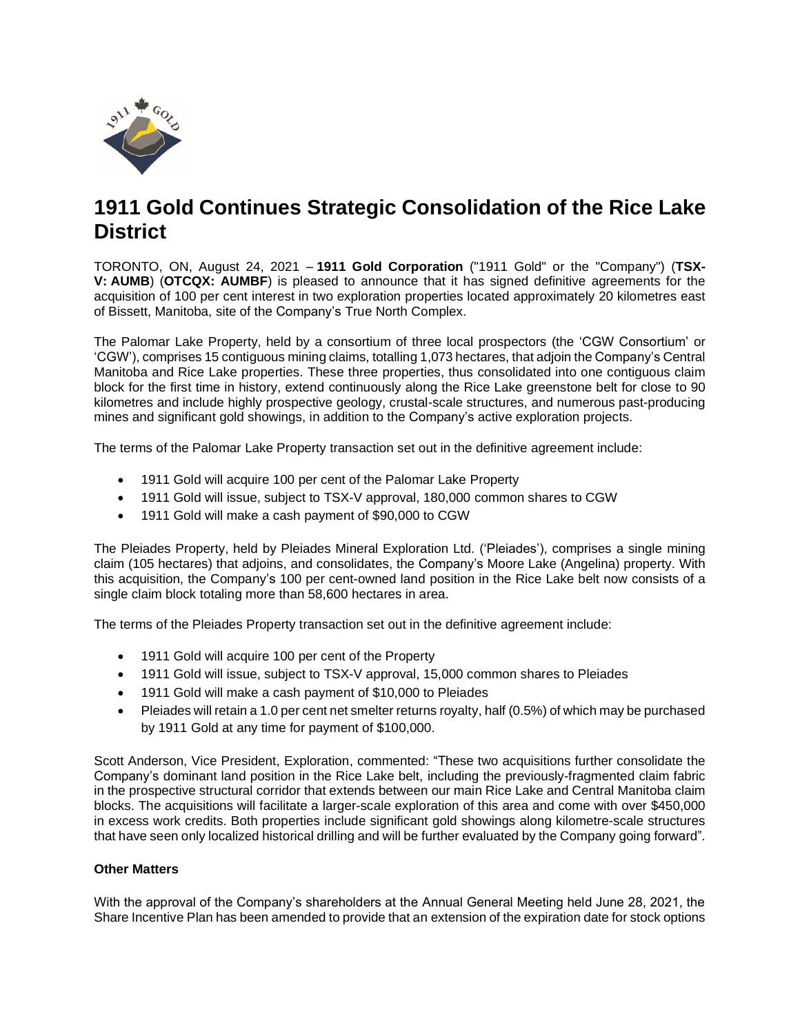

# **1911 Gold Continues Strategic Consolidation of the Rice Lake District**

TORONTO, ON, August 24, 2021 – **1911 Gold Corporation** ("1911 Gold" or the "Company") (**TSX-V: AUMB**) (**OTCQX: AUMBF**) is pleased to announce that it has signed definitive agreements for the acquisition of 100 per cent interest in two exploration properties located approximately 20 kilometres east of Bissett, Manitoba, site of the Company's True North Complex.

The Palomar Lake Property, held by a consortium of three local prospectors (the 'CGW Consortium' or 'CGW'), comprises 15 contiguous mining claims, totalling 1,073 hectares, that adjoin the Company's Central Manitoba and Rice Lake properties. These three properties, thus consolidated into one contiguous claim block for the first time in history, extend continuously along the Rice Lake greenstone belt for close to 90 kilometres and include highly prospective geology, crustal-scale structures, and numerous past-producing mines and significant gold showings, in addition to the Company's active exploration projects.

The terms of the Palomar Lake Property transaction set out in the definitive agreement include:

- 1911 Gold will acquire 100 per cent of the Palomar Lake Property
- 1911 Gold will issue, subject to TSX-V approval, 180,000 common shares to CGW
- 1911 Gold will make a cash payment of \$90,000 to CGW

The Pleiades Property, held by Pleiades Mineral Exploration Ltd. ('Pleiades'), comprises a single mining claim (105 hectares) that adjoins, and consolidates, the Company's Moore Lake (Angelina) property. With this acquisition, the Company's 100 per cent-owned land position in the Rice Lake belt now consists of a single claim block totaling more than 58,600 hectares in area.

The terms of the Pleiades Property transaction set out in the definitive agreement include:

- 1911 Gold will acquire 100 per cent of the Property
- 1911 Gold will issue, subject to TSX-V approval, 15,000 common shares to Pleiades
- 1911 Gold will make a cash payment of \$10,000 to Pleiades
- Pleiades will retain a 1.0 per cent net smelter returns royalty, half (0.5%) of which may be purchased by 1911 Gold at any time for payment of \$100,000.

Scott Anderson, Vice President, Exploration, commented: "These two acquisitions further consolidate the Company's dominant land position in the Rice Lake belt, including the previously-fragmented claim fabric in the prospective structural corridor that extends between our main Rice Lake and Central Manitoba claim blocks. The acquisitions will facilitate a larger-scale exploration of this area and come with over \$450,000 in excess work credits. Both properties include significant gold showings along kilometre-scale structures that have seen only localized historical drilling and will be further evaluated by the Company going forward".

## **Other Matters**

With the approval of the Company's shareholders at the Annual General Meeting held June 28, 2021, the Share Incentive Plan has been amended to provide that an extension of the expiration date for stock options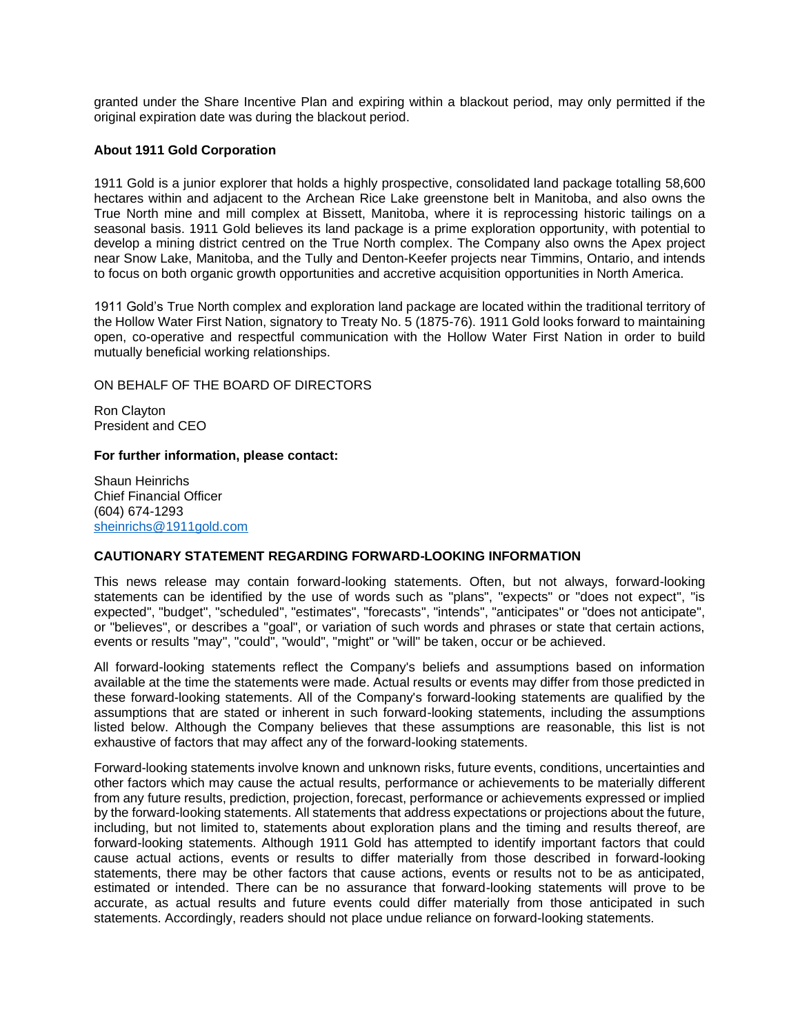granted under the Share Incentive Plan and expiring within a blackout period, may only permitted if the original expiration date was during the blackout period.

#### **About 1911 Gold Corporation**

1911 Gold is a junior explorer that holds a highly prospective, consolidated land package totalling 58,600 hectares within and adjacent to the Archean Rice Lake greenstone belt in Manitoba, and also owns the True North mine and mill complex at Bissett, Manitoba, where it is reprocessing historic tailings on a seasonal basis. 1911 Gold believes its land package is a prime exploration opportunity, with potential to develop a mining district centred on the True North complex. The Company also owns the Apex project near Snow Lake, Manitoba, and the Tully and Denton-Keefer projects near Timmins, Ontario, and intends to focus on both organic growth opportunities and accretive acquisition opportunities in North America.

1911 Gold's True North complex and exploration land package are located within the traditional territory of the Hollow Water First Nation, signatory to Treaty No. 5 (1875-76). 1911 Gold looks forward to maintaining open, co-operative and respectful communication with the Hollow Water First Nation in order to build mutually beneficial working relationships.

## ON BEHALF OF THE BOARD OF DIRECTORS

Ron Clayton President and CEO

#### **For further information, please contact:**

Shaun Heinrichs Chief Financial Officer (604) 674-1293 [sheinrichs@1911gold.com](mailto:sheinrichs@1911gold.com)

## **CAUTIONARY STATEMENT REGARDING FORWARD-LOOKING INFORMATION**

This news release may contain forward-looking statements. Often, but not always, forward-looking statements can be identified by the use of words such as "plans", "expects" or "does not expect", "is expected", "budget", "scheduled", "estimates", "forecasts", "intends", "anticipates" or "does not anticipate", or "believes", or describes a "goal", or variation of such words and phrases or state that certain actions, events or results "may", "could", "would", "might" or "will" be taken, occur or be achieved.

All forward-looking statements reflect the Company's beliefs and assumptions based on information available at the time the statements were made. Actual results or events may differ from those predicted in these forward-looking statements. All of the Company's forward-looking statements are qualified by the assumptions that are stated or inherent in such forward-looking statements, including the assumptions listed below. Although the Company believes that these assumptions are reasonable, this list is not exhaustive of factors that may affect any of the forward-looking statements.

Forward-looking statements involve known and unknown risks, future events, conditions, uncertainties and other factors which may cause the actual results, performance or achievements to be materially different from any future results, prediction, projection, forecast, performance or achievements expressed or implied by the forward-looking statements. All statements that address expectations or projections about the future, including, but not limited to, statements about exploration plans and the timing and results thereof, are forward-looking statements. Although 1911 Gold has attempted to identify important factors that could cause actual actions, events or results to differ materially from those described in forward-looking statements, there may be other factors that cause actions, events or results not to be as anticipated, estimated or intended. There can be no assurance that forward-looking statements will prove to be accurate, as actual results and future events could differ materially from those anticipated in such statements. Accordingly, readers should not place undue reliance on forward-looking statements.